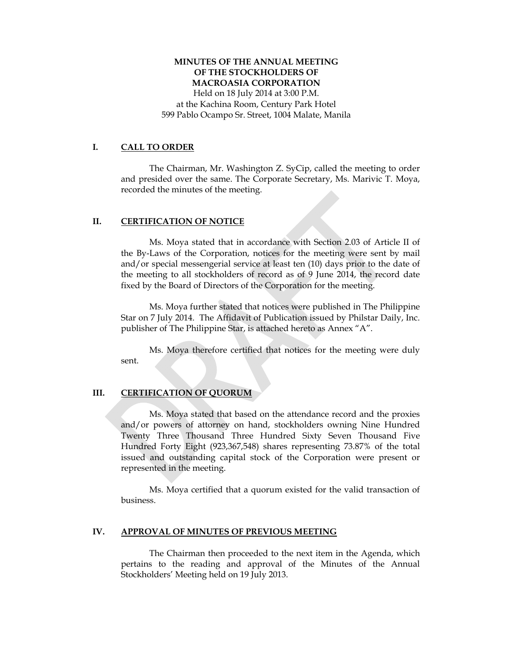### **MINUTES OF THE ANNUAL MEETING OF THE STOCKHOLDERS OF MACROASIA CORPORATION**

Held on 18 July 2014 at 3:00 P.M. at the Kachina Room, Century Park Hotel 599 Pablo Ocampo Sr. Street, 1004 Malate, Manila

#### **I. CALL TO ORDER**

The Chairman, Mr. Washington Z. SyCip, called the meeting to order and presided over the same. The Corporate Secretary, Ms. Marivic T. Moya, recorded the minutes of the meeting.

#### **II. CERTIFICATION OF NOTICE**

Ms. Moya stated that in accordance with Section 2.03 of Article II of the By-Laws of the Corporation, notices for the meeting were sent by mail and/or special messengerial service at least ten (10) days prior to the date of the meeting to all stockholders of record as of 9 June 2014, the record date fixed by the Board of Directors of the Corporation for the meeting.

Ms. Moya further stated that notices were published in The Philippine Star on 7 July 2014. The Affidavit of Publication issued by Philstar Daily, Inc. publisher of The Philippine Star, is attached hereto as Annex "A".

Ms. Moya therefore certified that notices for the meeting were duly sent.

#### **III. CERTIFICATION OF QUORUM**

Ms. Moya stated that based on the attendance record and the proxies and/or powers of attorney on hand, stockholders owning Nine Hundred Twenty Three Thousand Three Hundred Sixty Seven Thousand Five Hundred Forty Eight (923,367,548) shares representing 73.87% of the total issued and outstanding capital stock of the Corporation were present or represented in the meeting.

Ms. Moya certified that a quorum existed for the valid transaction of business.

#### **IV. APPROVAL OF MINUTES OF PREVIOUS MEETING**

The Chairman then proceeded to the next item in the Agenda, which pertains to the reading and approval of the Minutes of the Annual Stockholders' Meeting held on 19 July 2013.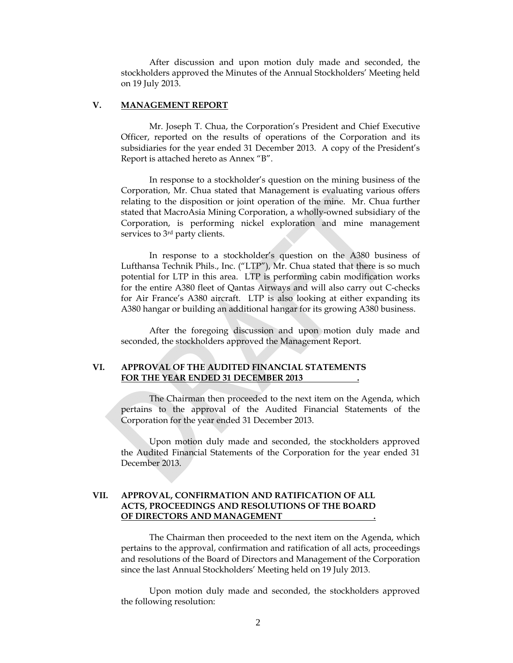After discussion and upon motion duly made and seconded, the stockholders approved the Minutes of the Annual Stockholders' Meeting held on 19 July 2013.

#### **V. MANAGEMENT REPORT**

Mr. Joseph T. Chua, the Corporation's President and Chief Executive Officer, reported on the results of operations of the Corporation and its subsidiaries for the year ended 31 December 2013. A copy of the President's Report is attached hereto as Annex "B".

 In response to a stockholder's question on the mining business of the Corporation, Mr. Chua stated that Management is evaluating various offers relating to the disposition or joint operation of the mine. Mr. Chua further stated that MacroAsia Mining Corporation, a wholly-owned subsidiary of the Corporation, is performing nickel exploration and mine management services to 3<sup>rd</sup> party clients.

 In response to a stockholder's question on the A380 business of Lufthansa Technik Phils., Inc. ("LTP"), Mr. Chua stated that there is so much potential for LTP in this area. LTP is performing cabin modification works for the entire A380 fleet of Qantas Airways and will also carry out C-checks for Air France's A380 aircraft. LTP is also looking at either expanding its A380 hangar or building an additional hangar for its growing A380 business.

 After the foregoing discussion and upon motion duly made and seconded, the stockholders approved the Management Report.

#### **VI. APPROVAL OF THE AUDITED FINANCIAL STATEMENTS FOR THE YEAR ENDED 31 DECEMBER 2013 .**

The Chairman then proceeded to the next item on the Agenda, which pertains to the approval of the Audited Financial Statements of the Corporation for the year ended 31 December 2013.

Upon motion duly made and seconded, the stockholders approved the Audited Financial Statements of the Corporation for the year ended 31 December 2013.

#### **VII. APPROVAL, CONFIRMATION AND RATIFICATION OF ALL ACTS, PROCEEDINGS AND RESOLUTIONS OF THE BOARD OF DIRECTORS AND MANAGEMENT .**

The Chairman then proceeded to the next item on the Agenda, which pertains to the approval, confirmation and ratification of all acts, proceedings and resolutions of the Board of Directors and Management of the Corporation since the last Annual Stockholders' Meeting held on 19 July 2013.

Upon motion duly made and seconded, the stockholders approved the following resolution: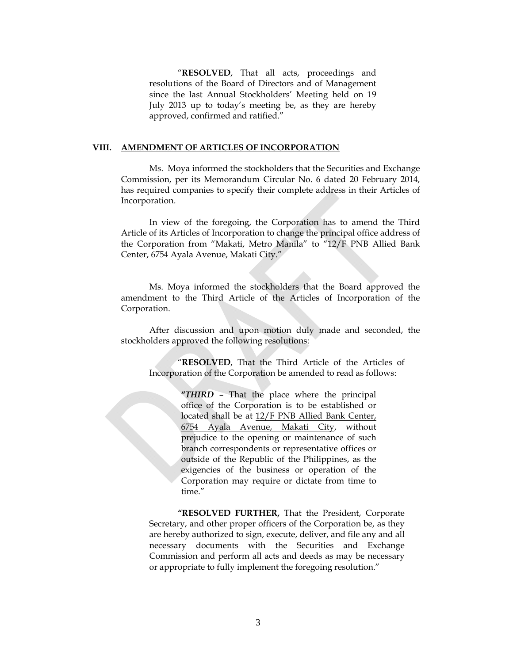"**RESOLVED**, That all acts, proceedings and resolutions of the Board of Directors and of Management since the last Annual Stockholders' Meeting held on 19 July 2013 up to today's meeting be, as they are hereby approved, confirmed and ratified."

#### **VIII. AMENDMENT OF ARTICLES OF INCORPORATION**

Ms. Moya informed the stockholders that the Securities and Exchange Commission, per its Memorandum Circular No. 6 dated 20 February 2014, has required companies to specify their complete address in their Articles of Incorporation.

In view of the foregoing, the Corporation has to amend the Third Article of its Articles of Incorporation to change the principal office address of the Corporation from "Makati, Metro Manila" to "12/F PNB Allied Bank Center, 6754 Ayala Avenue, Makati City."

Ms. Moya informed the stockholders that the Board approved the amendment to the Third Article of the Articles of Incorporation of the Corporation.

After discussion and upon motion duly made and seconded, the stockholders approved the following resolutions:

"**RESOLVED**, That the Third Article of the Articles of Incorporation of the Corporation be amended to read as follows:

> **"***THIRD* – That the place where the principal office of the Corporation is to be established or located shall be at 12/F PNB Allied Bank Center, 6754 Ayala Avenue, Makati City, without prejudice to the opening or maintenance of such branch correspondents or representative offices or outside of the Republic of the Philippines, as the exigencies of the business or operation of the Corporation may require or dictate from time to time."

**"RESOLVED FURTHER,** That the President, Corporate Secretary, and other proper officers of the Corporation be, as they are hereby authorized to sign, execute, deliver, and file any and all necessary documents with the Securities and Exchange Commission and perform all acts and deeds as may be necessary or appropriate to fully implement the foregoing resolution."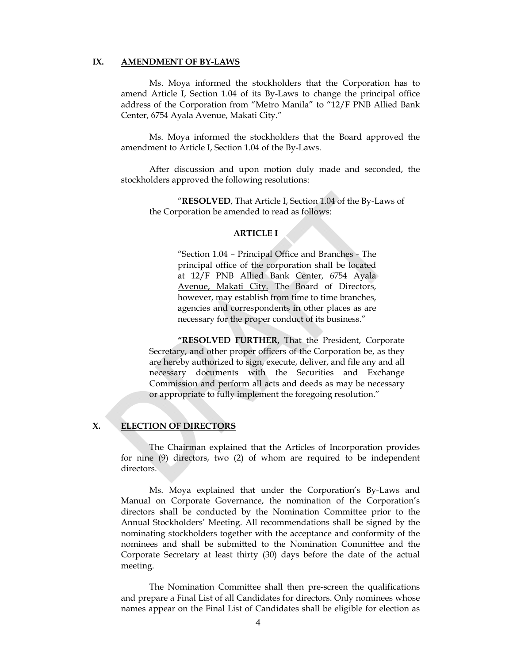#### **IX. AMENDMENT OF BY-LAWS**

Ms. Moya informed the stockholders that the Corporation has to amend Article I, Section 1.04 of its By-Laws to change the principal office address of the Corporation from "Metro Manila" to "12/F PNB Allied Bank Center, 6754 Ayala Avenue, Makati City."

Ms. Moya informed the stockholders that the Board approved the amendment to Article I, Section 1.04 of the By-Laws.

After discussion and upon motion duly made and seconded, the stockholders approved the following resolutions:

"**RESOLVED**, That Article I, Section 1.04 of the By-Laws of the Corporation be amended to read as follows:

#### **ARTICLE I**

"Section 1.04 – Principal Office and Branches - The principal office of the corporation shall be located at 12/F PNB Allied Bank Center, 6754 Ayala Avenue, Makati City. The Board of Directors, however, may establish from time to time branches, agencies and correspondents in other places as are necessary for the proper conduct of its business."

**"RESOLVED FURTHER,** That the President, Corporate Secretary, and other proper officers of the Corporation be, as they are hereby authorized to sign, execute, deliver, and file any and all necessary documents with the Securities and Exchange Commission and perform all acts and deeds as may be necessary or appropriate to fully implement the foregoing resolution."

#### **X. ELECTION OF DIRECTORS**

The Chairman explained that the Articles of Incorporation provides for nine (9) directors, two (2) of whom are required to be independent directors.

Ms. Moya explained that under the Corporation's By-Laws and Manual on Corporate Governance, the nomination of the Corporation's directors shall be conducted by the Nomination Committee prior to the Annual Stockholders' Meeting. All recommendations shall be signed by the nominating stockholders together with the acceptance and conformity of the nominees and shall be submitted to the Nomination Committee and the Corporate Secretary at least thirty (30) days before the date of the actual meeting.

 The Nomination Committee shall then pre-screen the qualifications and prepare a Final List of all Candidates for directors. Only nominees whose names appear on the Final List of Candidates shall be eligible for election as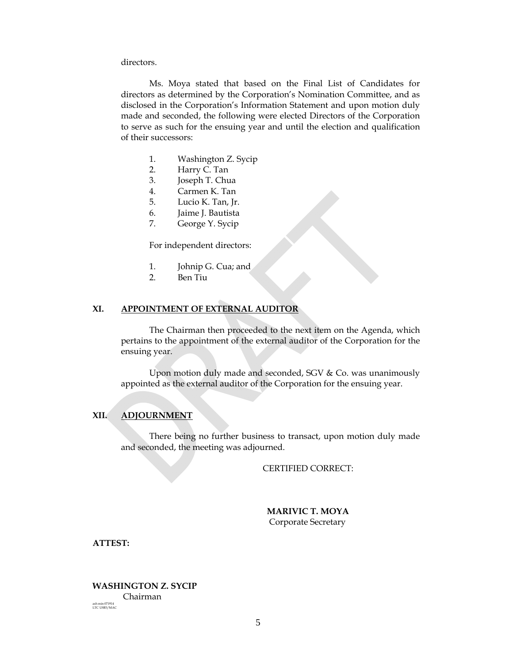directors.

Ms. Moya stated that based on the Final List of Candidates for directors as determined by the Corporation's Nomination Committee, and as disclosed in the Corporation's Information Statement and upon motion duly made and seconded, the following were elected Directors of the Corporation to serve as such for the ensuing year and until the election and qualification of their successors:

- 1. Washington Z. Sycip
- 2. Harry C. Tan
- 3. Joseph T. Chua
- 4. Carmen K. Tan
- 5. Lucio K. Tan, Jr.
- 6. Jaime J. Bautista
- 7. George Y. Sycip

For independent directors:

- 1. Johnip G. Cua; and
- 2. Ben Tiu

#### **XI. APPOINTMENT OF EXTERNAL AUDITOR**

The Chairman then proceeded to the next item on the Agenda, which pertains to the appointment of the external auditor of the Corporation for the ensuing year.

Upon motion duly made and seconded, SGV & Co. was unanimously appointed as the external auditor of the Corporation for the ensuing year.

#### **XII. ADJOURNMENT**

There being no further business to transact, upon motion duly made and seconded, the meeting was adjourned.

CERTIFIED CORRECT:

 **MARIVIC T. MOYA**  Corporate Secretary

**ATTEST:** 

**WASHINGTON Z. SYCIP**  Chairman ash min 071914 LTC USB3/MAC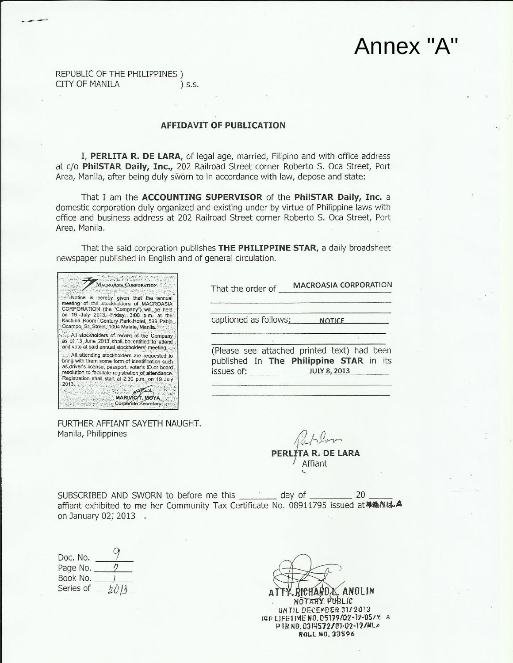# Annex "A"

REPUBLIC OF THE PHILIPPINES) CITY OF MANILA \ S.S.

#### **AFFIDAVIT OF PUBLICATION**

I, PERLITA R. DE LARA, of legal age, married, Filipino and with office address at c/o PhilSTAR Daily, Inc., 202 Railroad Street corner Roberto S. Oca Street, Port Area, Manila, after being duly sworn to in accordance with law, depose and state:

That I am the ACCOUNTING SUPERVISOR of the PhilSTAR Daily, Inc. a domestic corporation duly organized and existing under by virtue of Philippine laws with office and business address at 202 Railroad Street corner Roberto S. Oca Street, Port Area, Manila.

That the said corporation publishes THE PHILIPPINE STAR, a daily broadsheet newspaper published in English and of general circulation.



FURTHER AFFIANT SAYETH NAUGHT. Manila, Philippines

**MACROASIA CORPORATION** That the order of

**NOTICE** 

captioned as follows:

(Please see attached printed text) had been published In The Philippine STAR in its issues of: **JULY 8, 2013** 

PERLÍTA R. DE LARA Affiant

SUBSCRIBED AND SWORN to before me this day of 20 affiant exhibited to me her Community Tax Certificate No. 08911795 issued at 和為商はA on January 02; 2013 .

| Doc. No.  |  |
|-----------|--|
| Page No.  |  |
| Book No.  |  |
| Series of |  |

RICHARDA. ANOLIN NOTARY PUBLIC UNTIL DECEMBER 31/2013 IBP LIFETIME NO.05179/02-12-05/M-A

PTR NO. 0314572/01-02-12/MLA ROLL NO. 33596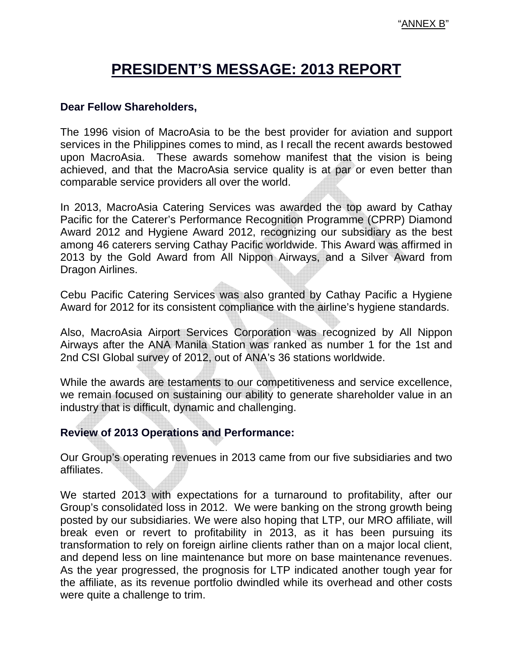# **PRESIDENT'S MESSAGE: 2013 REPORT**

## **Dear Fellow Shareholders,**

The 1996 vision of MacroAsia to be the best provider for aviation and support services in the Philippines comes to mind, as I recall the recent awards bestowed upon MacroAsia. These awards somehow manifest that the vision is being achieved, and that the MacroAsia service quality is at par or even better than comparable service providers all over the world.

In 2013, MacroAsia Catering Services was awarded the top award by Cathay Pacific for the Caterer's Performance Recognition Programme (CPRP) Diamond Award 2012 and Hygiene Award 2012, recognizing our subsidiary as the best among 46 caterers serving Cathay Pacific worldwide. This Award was affirmed in 2013 by the Gold Award from All Nippon Airways, and a Silver Award from Dragon Airlines.

Cebu Pacific Catering Services was also granted by Cathay Pacific a Hygiene Award for 2012 for its consistent compliance with the airline's hygiene standards.

Also, MacroAsia Airport Services Corporation was recognized by All Nippon Airways after the ANA Manila Station was ranked as number 1 for the 1st and 2nd CSI Global survey of 2012, out of ANA's 36 stations worldwide.

While the awards are testaments to our competitiveness and service excellence, we remain focused on sustaining our ability to generate shareholder value in an industry that is difficult, dynamic and challenging.

# **Review of 2013 Operations and Performance:**

Our Group's operating revenues in 2013 came from our five subsidiaries and two affiliates.

We started 2013 with expectations for a turnaround to profitability, after our Group's consolidated loss in 2012. We were banking on the strong growth being posted by our subsidiaries. We were also hoping that LTP, our MRO affiliate, will break even or revert to profitability in 2013, as it has been pursuing its transformation to rely on foreign airline clients rather than on a major local client, and depend less on line maintenance but more on base maintenance revenues. As the year progressed, the prognosis for LTP indicated another tough year for the affiliate, as its revenue portfolio dwindled while its overhead and other costs were quite a challenge to trim.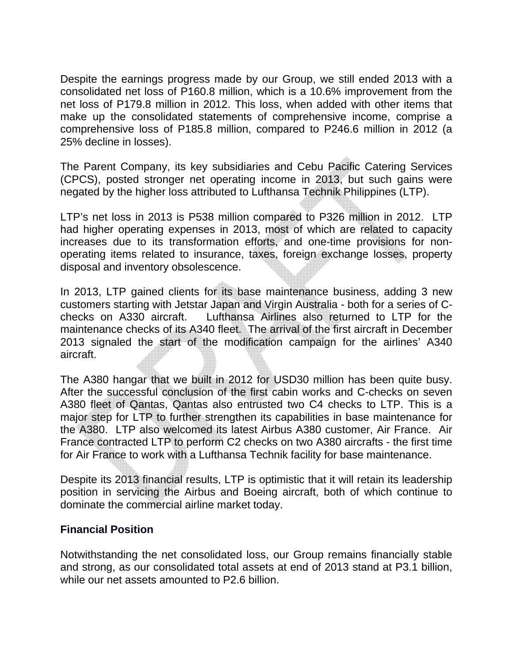Despite the earnings progress made by our Group, we still ended 2013 with a consolidated net loss of P160.8 million, which is a 10.6% improvement from the net loss of P179.8 million in 2012. This loss, when added with other items that make up the consolidated statements of comprehensive income, comprise a comprehensive loss of P185.8 million, compared to P246.6 million in 2012 (a 25% decline in losses).

The Parent Company, its key subsidiaries and Cebu Pacific Catering Services (CPCS), posted stronger net operating income in 2013, but such gains were negated by the higher loss attributed to Lufthansa Technik Philippines (LTP).

LTP's net loss in 2013 is P538 million compared to P326 million in 2012. LTP had higher operating expenses in 2013, most of which are related to capacity increases due to its transformation efforts, and one-time provisions for nonoperating items related to insurance, taxes, foreign exchange losses, property disposal and inventory obsolescence.

In 2013, LTP gained clients for its base maintenance business, adding 3 new customers starting with Jetstar Japan and Virgin Australia - both for a series of Cchecks on A330 aircraft. Lufthansa Airlines also returned to LTP for the maintenance checks of its A340 fleet. The arrival of the first aircraft in December 2013 signaled the start of the modification campaign for the airlines' A340 aircraft.

The A380 hangar that we built in 2012 for USD30 million has been quite busy. After the successful conclusion of the first cabin works and C-checks on seven A380 fleet of Qantas, Qantas also entrusted two C4 checks to LTP. This is a major step for LTP to further strengthen its capabilities in base maintenance for the A380. LTP also welcomed its latest Airbus A380 customer, Air France. Air France contracted LTP to perform C2 checks on two A380 aircrafts - the first time for Air France to work with a Lufthansa Technik facility for base maintenance.

Despite its 2013 financial results, LTP is optimistic that it will retain its leadership position in servicing the Airbus and Boeing aircraft, both of which continue to dominate the commercial airline market today.

# **Financial Position**

Notwithstanding the net consolidated loss, our Group remains financially stable and strong, as our consolidated total assets at end of 2013 stand at P3.1 billion, while our net assets amounted to P2.6 billion.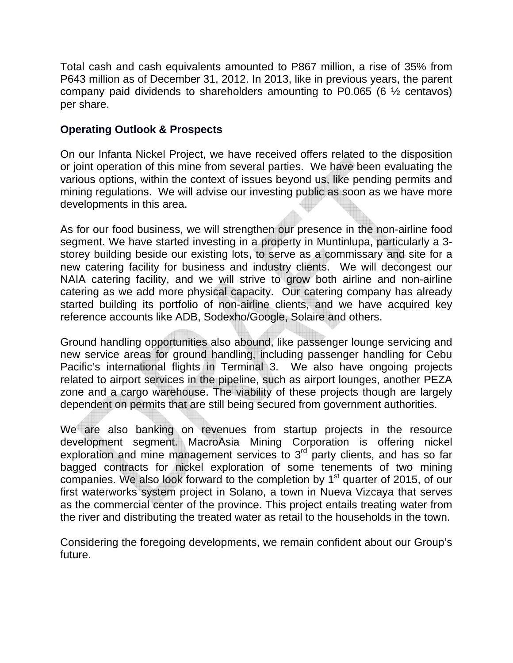Total cash and cash equivalents amounted to P867 million, a rise of 35% from P643 million as of December 31, 2012. In 2013, like in previous years, the parent company paid dividends to shareholders amounting to P0.065 (6 ½ centavos) per share.

# **Operating Outlook & Prospects**

On our Infanta Nickel Project, we have received offers related to the disposition or joint operation of this mine from several parties. We have been evaluating the various options, within the context of issues beyond us, like pending permits and mining regulations. We will advise our investing public as soon as we have more developments in this area.

As for our food business, we will strengthen our presence in the non-airline food segment. We have started investing in a property in Muntinlupa, particularly a 3 storey building beside our existing lots, to serve as a commissary and site for a new catering facility for business and industry clients. We will decongest our NAIA catering facility, and we will strive to grow both airline and non-airline catering as we add more physical capacity. Our catering company has already started building its portfolio of non-airline clients, and we have acquired key reference accounts like ADB, Sodexho/Google, Solaire and others.

Ground handling opportunities also abound, like passenger lounge servicing and new service areas for ground handling, including passenger handling for Cebu Pacific's international flights in Terminal 3. We also have ongoing projects related to airport services in the pipeline, such as airport lounges, another PEZA zone and a cargo warehouse. The viability of these projects though are largely dependent on permits that are still being secured from government authorities.

We are also banking on revenues from startup projects in the resource development segment. MacroAsia Mining Corporation is offering nickel exploration and mine management services to 3<sup>rd</sup> party clients, and has so far bagged contracts for nickel exploration of some tenements of two mining companies. We also look forward to the completion by  $1<sup>st</sup>$  quarter of 2015, of our first waterworks system project in Solano, a town in Nueva Vizcaya that serves as the commercial center of the province. This project entails treating water from the river and distributing the treated water as retail to the households in the town.

Considering the foregoing developments, we remain confident about our Group's future.